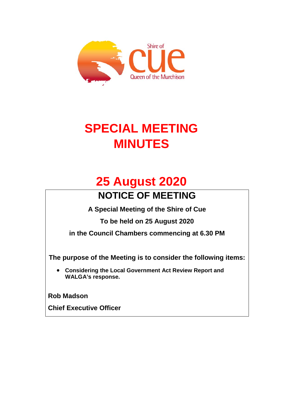

# **SPECIAL MEETING MINUTES**

## **25 August 2020 NOTICE OF MEETING**

**A Special Meeting of the Shire of Cue** 

**To be held on 25 August 2020**

**in the Council Chambers commencing at 6.30 PM**

**The purpose of the Meeting is to consider the following items:**

• **Considering the Local Government Act Review Report and WALGA's response.**

**Rob Madson** 

**Chief Executive Officer**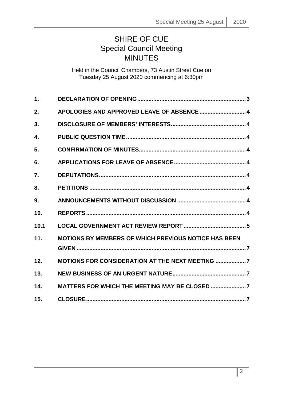### SHIRE OF CUE Special Council Meeting MINUTES

Held in the Council Chambers, 73 Austin Street Cue on Tuesday 25 August 2020 commencing at 6:30pm

| 1.   |                                                             |
|------|-------------------------------------------------------------|
| 2.   | APOLOGIES AND APPROVED LEAVE OF ABSENCE  4                  |
| 3.   |                                                             |
| 4.   |                                                             |
| 5.   |                                                             |
| 6.   |                                                             |
| 7.   |                                                             |
| 8.   |                                                             |
| 9.   |                                                             |
| 10.  |                                                             |
| 10.1 |                                                             |
| 11.  | <b>MOTIONS BY MEMBERS OF WHICH PREVIOUS NOTICE HAS BEEN</b> |
| 12.  | <b>MOTIONS FOR CONSIDERATION AT THE NEXT MEETING 7</b>      |
| 13.  |                                                             |
| 14.  |                                                             |
| 15.  |                                                             |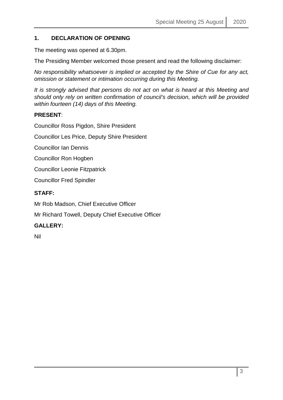#### <span id="page-2-0"></span>**1. DECLARATION OF OPENING**

The meeting was opened at 6.30pm.

The Presiding Member welcomed those present and read the following disclaimer:

*No responsibility whatsoever is implied or accepted by the Shire of Cue for any act, omission or statement or intimation occurring during this Meeting.*

*It is strongly advised that persons do not act on what is heard at this Meeting and should only rely on written confirmation of council's decision, which will be provided within fourteen (14) days of this Meeting.*

#### **PRESENT**:

Councillor Ross Pigdon, Shire President

Councillor Les Price, Deputy Shire President

Councillor Ian Dennis

Councillor Ron Hogben

Councillor Leonie Fitzpatrick

Councillor Fred Spindler

#### **STAFF:**

Mr Rob Madson, Chief Executive Officer

Mr Richard Towell, Deputy Chief Executive Officer

#### **GALLERY:**

Nil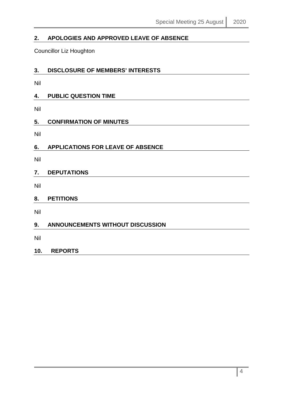### <span id="page-3-0"></span>**2. APOLOGIES AND APPROVED LEAVE OF ABSENCE**

Councillor Liz Houghton

<span id="page-3-1"></span>

| 3. | DISCLOSURE OF MEMBERS' INTERESTS |  |
|----|----------------------------------|--|
|    |                                  |  |

Nil

<span id="page-3-2"></span>

| 4. | <b>PUBLIC QUESTION TIME</b> |  |
|----|-----------------------------|--|
|    |                             |  |

Nil

#### <span id="page-3-3"></span>**5. CONFIRMATION OF MINUTES**

Nil

<span id="page-3-4"></span>

| 6. | <b>APPLICATIONS FOR LEAVE OF ABSENCE</b> |
|----|------------------------------------------|
|----|------------------------------------------|

Nil

#### <span id="page-3-5"></span>**7. DEPUTATIONS**

Nil

#### <span id="page-3-6"></span>**8. PETITIONS**

Nil

#### <span id="page-3-7"></span>**9. ANNOUNCEMENTS WITHOUT DISCUSSION**

Nil

#### <span id="page-3-8"></span>**10. REPORTS**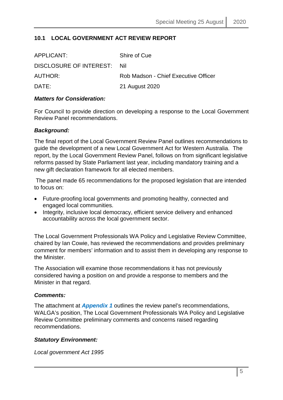#### <span id="page-4-0"></span>**10.1 LOCAL GOVERNMENT ACT REVIEW REPORT**

| APPLICANT:              | Shire of Cue                         |
|-------------------------|--------------------------------------|
| DISCLOSURE OF INTEREST: | -Nil                                 |
| AUTHOR:                 | Rob Madson - Chief Executive Officer |
| DATE:                   | 21 August 2020                       |

#### *Matters for Consideration:*

For Council to provide direction on developing a response to the Local Government Review Panel recommendations.

#### *Background:*

The final report of the Local Government Review Panel outlines recommendations to guide the development of a new Local Government Act for Western Australia. The report, by the Local Government Review Panel, follows on from significant legislative reforms passed by State Parliament last year, including mandatory training and a new gift declaration framework for all elected members.

The panel made 65 recommendations for the proposed legislation that are intended to focus on:

- Future-proofing local governments and promoting healthy, connected and engaged local communities.
- Integrity, inclusive local democracy, efficient service delivery and enhanced accountability across the local government sector.

The Local Government Professionals WA Policy and Legislative Review Committee, chaired by Ian Cowie, has reviewed the recommendations and provides preliminary comment for members' information and to assist them in developing any response to the Minister.

The Association will examine those recommendations it has not previously considered having a position on and provide a response to members and the Minister in that regard.

#### *Comments:*

The attachment at *Appendix 1* outlines the review panel's recommendations, WALGA's position, The Local Government Professionals WA Policy and Legislative Review Committee preliminary comments and concerns raised regarding recommendations.

#### *Statutory Environment:*

*Local government Act 1995*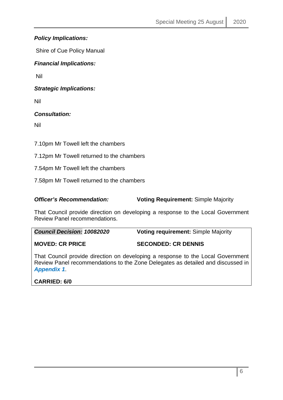#### *Policy Implications:*

Shire of Cue Policy Manual

#### *Financial Implications:*

Nil

*Strategic Implications:*

Nil

#### *Consultation:*

Nil

7.10pm Mr Towell left the chambers

7.12pm Mr Towell returned to the chambers

7.54pm Mr Towell left the chambers

7.58pm Mr Towell returned to the chambers

#### *Officer's Recommendation:* **Voting Requirement:** Simple Majority

That Council provide direction on developing a response to the Local Government Review Panel recommendations.

*Council Decision: 10082020* **Voting requirement:** Simple Majority

#### **MOVED: CR PRICE SECONDED: CR DENNIS**

That Council provide direction on developing a response to the Local Government Review Panel recommendations to the Zone Delegates as detailed and discussed in *Appendix 1*.

**CARRIED: 6/0**